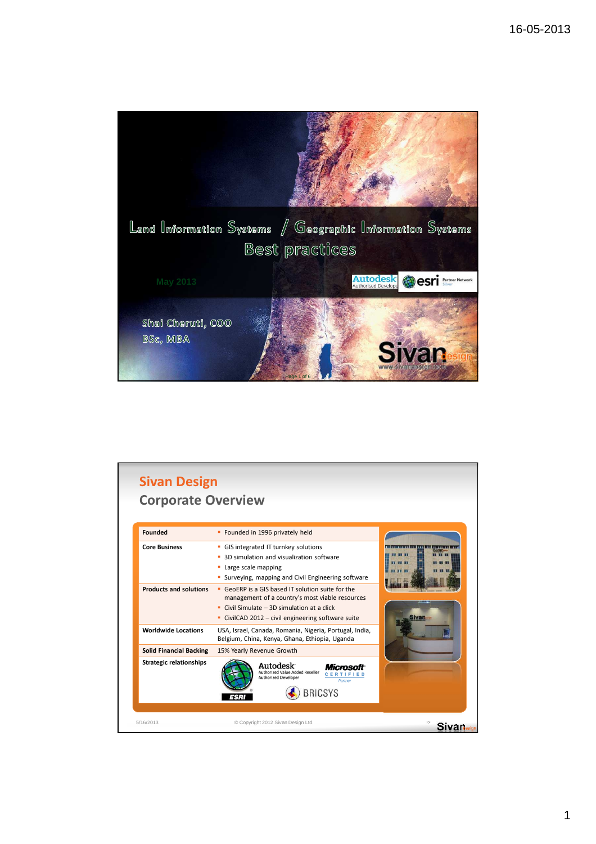

| <b>Founded</b>                 | • Founded in 1996 privately held                                                                                                                                                                         |       |
|--------------------------------|----------------------------------------------------------------------------------------------------------------------------------------------------------------------------------------------------------|-------|
| <b>Core Business</b>           | • GIS integrated IT turnkey solutions<br>3D simulation and visualization software<br>Large scale mapping<br>٠<br>Surveying, mapping and Civil Engineering software                                       | Sivan |
| <b>Products and solutions</b>  | • GeoERP is a GIS based IT solution suite for the<br>management of a country's most viable resources<br>Civil Simulate $-3D$ simulation at a click<br>• CivilCAD 2012 – civil engineering software suite |       |
| <b>Worldwide Locations</b>     | USA, Israel, Canada, Romania, Nigeria, Portugal, India,<br>Belgium, China, Kenya, Ghana, Ethiopia, Uganda                                                                                                |       |
| <b>Solid Financial Backing</b> | 15% Yearly Revenue Growth                                                                                                                                                                                |       |
| <b>Strategic relationships</b> | Autodesk <sup>-</sup><br>Micmso<br>Authorized Value Added Reseller<br><b>Authorized Developer</b><br>Partner<br><b>BRICSYS</b>                                                                           |       |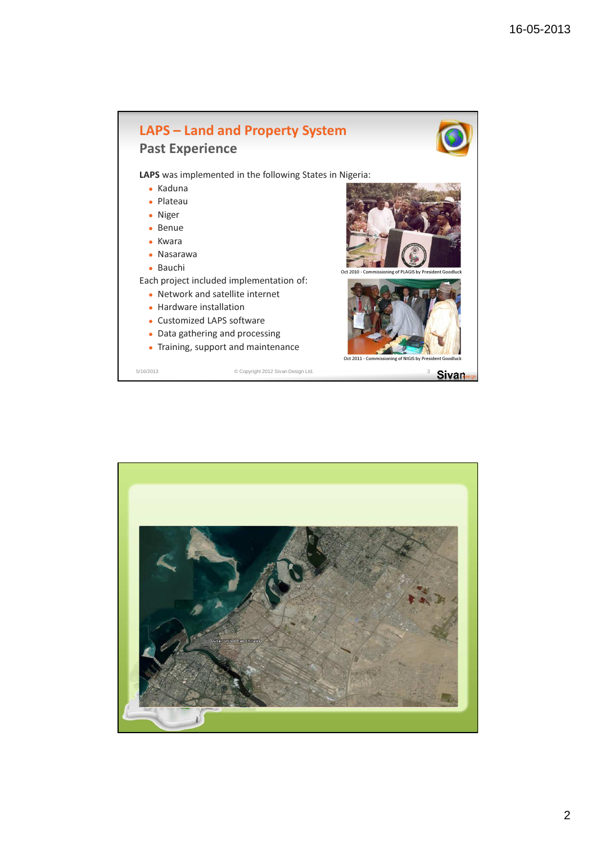



2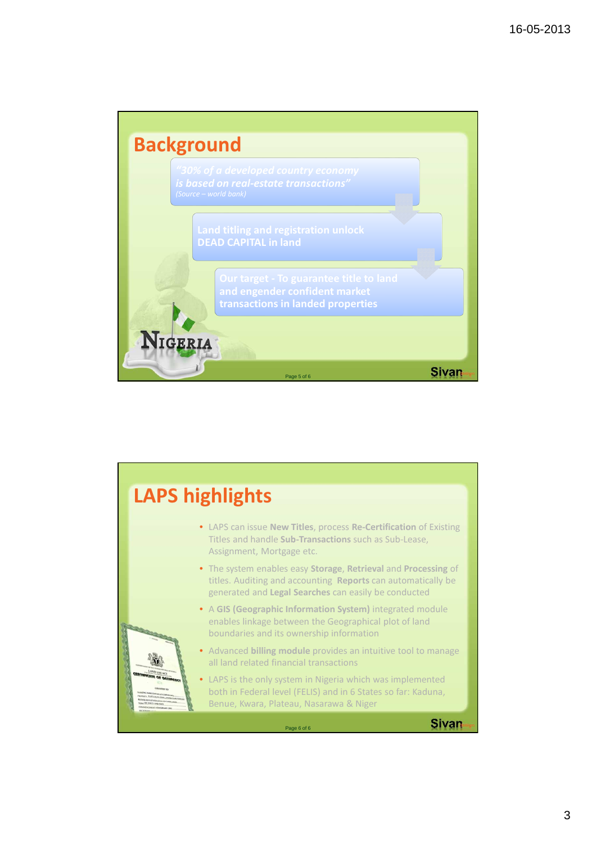

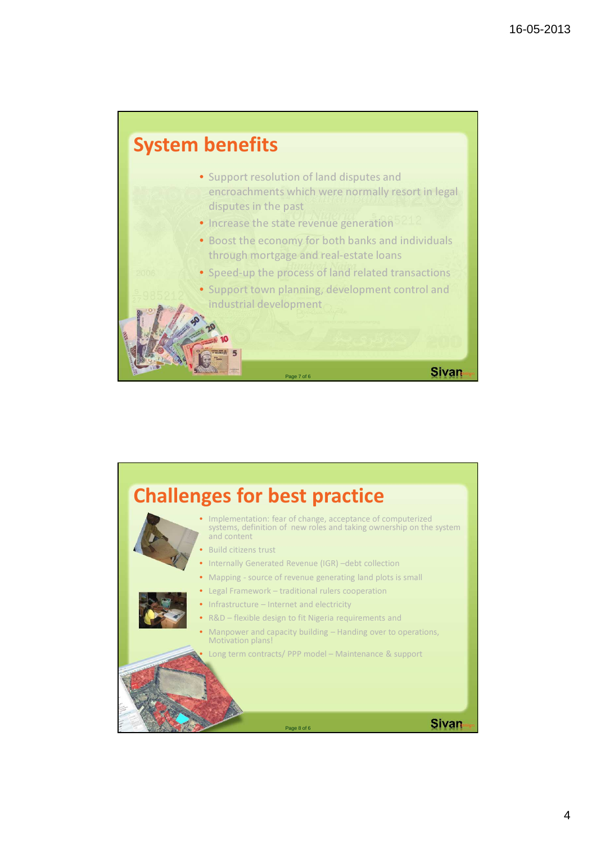